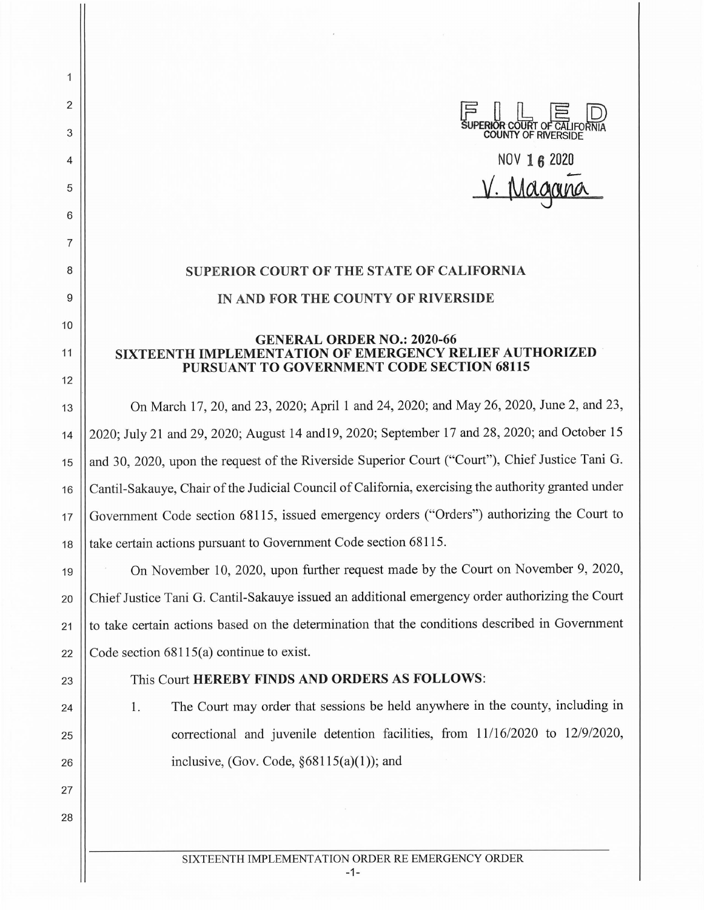SUPERIOR COURT OF CALIFO **COUNTY OF RIVERSIDE** NOV **16 2020**  Magano

## **SUPERIOR COURT OF THE STATE OF CALIFORNIA IN AND FOR THE COUNTY OF RIVERSIDE**

## **GENERAL ORDER NO.: 2020-66 SIXTEENTH IMPLEMENTATION OF EMERGENCY RELIEF AUTHORIZED PURSUANT TO GOVERNMENT CODE SECTION 68115**

13 | On March 17, 20, and 23, 2020; April 1 and 24, 2020; and May 26, 2020, June 2, and 23, 14 2020; July 21 and 29, 2020; August 14 and19, 2020; September 17 and 28, 2020; and October 15 15 || and 30, 2020, upon the request of the Riverside Superior Court ("Court"), Chief Justice Tani G. 16 Cantil-Sakauye, Chair of the Judicial Council of California, exercising the authority granted under 17 Government Code section 68115, issued emergency orders ("Orders") authorizing the Court to 18 **t** take certain actions pursuant to Government Code section 68115.

19 On November 10, 2020, upon further request made by the Court on November 9, 2020, 20 | Chief Justice Tani G. Cantil-Sakauye issued an additional emergency order authorizing the Court 21 || to take certain actions based on the determination that the conditions described in Government 22  $\vert$  Code section 68115(a) continue to exist.

24

25

26

27

28

2

 $\overline{1}$ 

3

4

5

6

7

8

9

10

11

12

## 23 || This Court **HEREBY FINDS AND ORDERS AS FOLLOWS:**

1. The Court may order that sessions be held anywhere in the county, including in correctional and juvenile detention facilities, from 11/16/2020 to 12/9/2020, inclusive, (Gov. Code,  $§68115(a)(1)$ ); and